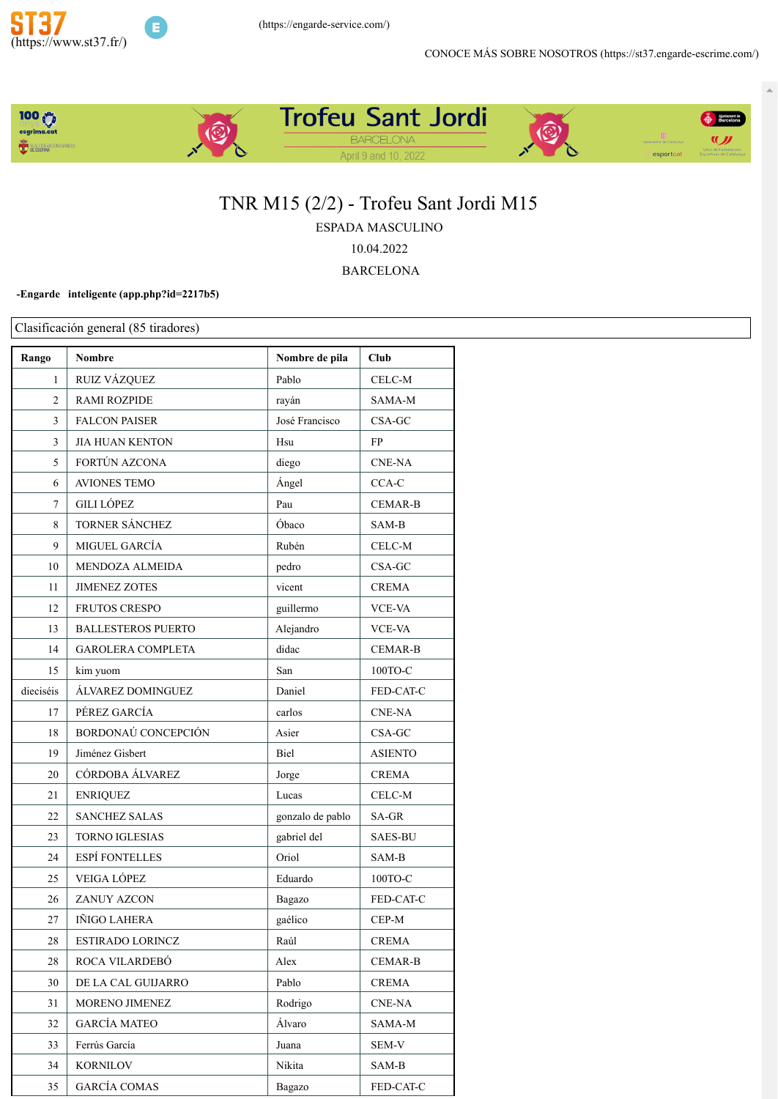



# TNR M15 (2/2) - Trofeu Sant Jordi M15

ESPADA MASCULINO

10.04.2022

**BARCELONA** 

### -Engarde inteligente (app.php?id=2217b5)

| Rango        | <b>Nombre</b>             | Nombre de pila   | Club           |
|--------------|---------------------------|------------------|----------------|
|              |                           |                  |                |
| $\mathbf{1}$ | RUIZ VÁZQUEZ              | Pablo            | CELC-M         |
| 2            | <b>RAMI ROZPIDE</b>       | rayán            | SAMA-M         |
| 3            | <b>FALCON PAISER</b>      | José Francisco   | CSA-GC         |
| 3            | <b>JIA HUAN KENTON</b>    | Hsu              | FP             |
| 5            | FORTÚN AZCONA             | diego            | <b>CNE-NA</b>  |
| 6            | <b>AVIONES TEMO</b>       | Ángel            | CCA-C          |
| 7            | <b>GILI LÓPEZ</b>         | Pau              | <b>CEMAR-B</b> |
| 8            | TORNER SÁNCHEZ            | Óbaco            | SAM-B          |
| 9            | MIGUEL GARCÍA             | Rubén            | CELC-M         |
| 10           | MENDOZA ALMEIDA           | pedro            | CSA-GC         |
| 11           | <b>JIMENEZ ZOTES</b>      | vicent           | <b>CREMA</b>   |
| 12           | <b>FRUTOS CRESPO</b>      | guillermo        | VCE-VA         |
| 13           | <b>BALLESTEROS PUERTO</b> | Alejandro        | <b>VCE-VA</b>  |
| 14           | <b>GAROLERA COMPLETA</b>  | didac            | <b>CEMAR-B</b> |
| 15           | kim yuom                  | San              | $100TO-C$      |
| dieciséis    | ÁLVAREZ DOMINGUEZ         | Daniel           | FED-CAT-C      |
| 17           | PÉREZ GARCÍA              | carlos           | <b>CNE-NA</b>  |
| 18           | BORDONAÚ CONCEPCIÓN       | Asier            | $CSA-GC$       |
| 19           | Jiménez Gisbert           | Biel             | <b>ASIENTO</b> |
| 20           | CÓRDOBA ÁLVAREZ           | Jorge            | <b>CREMA</b>   |
| 21           | <b>ENRIQUEZ</b>           | Lucas            | CELC-M         |
| 22           | <b>SANCHEZ SALAS</b>      | gonzalo de pablo | SA-GR          |
| 23           | TORNO IGLESIAS            | gabriel del      | <b>SAES-BU</b> |
| 24           | <b>ESPÍ FONTELLES</b>     | Oriol            | SAM-B          |
| 25           | <b>VEIGA LÓPEZ</b>        | Eduardo          | 100ТО-С        |
| 26           | <b>ZANUY AZCON</b>        | Bagazo           | FED-CAT-C      |
| 27           | IÑIGO LAHERA              | gaélico          | CEP-M          |
| 28           | ESTIRADO LORINCZ          | Raúl             | <b>CREMA</b>   |
| 28           | ROCA VILARDEBÓ            | Alex             | CEMAR-B        |
| 30           | DE LA CAL GUIJARRO        | Pablo            | <b>CREMA</b>   |
| 31           | MORENO JIMENEZ            | Rodrigo          | <b>CNE-NA</b>  |
| 32           | <b>GARCÍA MATEO</b>       | Álvaro           | SAMA-M         |
| 33           | Ferrús García             | Juana            | SEM-V          |
| 34           | <b>KORNILOV</b>           | Nikita           | SAM-B          |
| 35           | <b>GARCÍA COMAS</b>       | Bagazo           | FED-CAT-C      |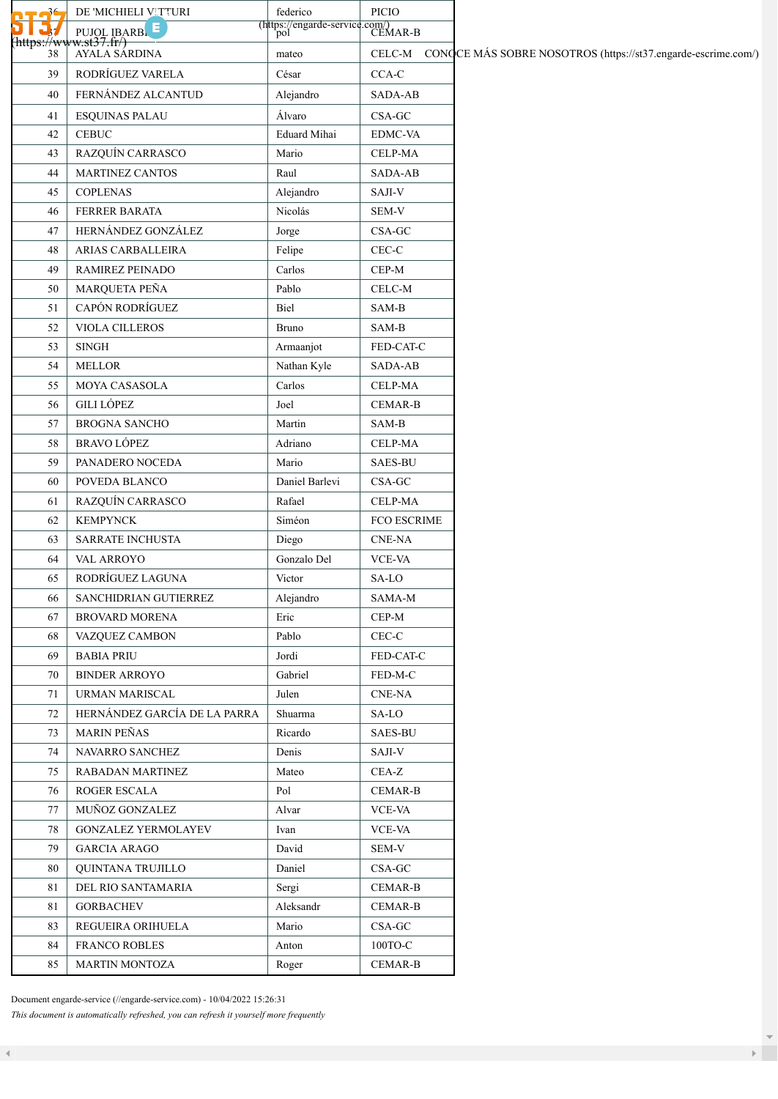|                 | DE 'MICHIELI VITTURI                                      | federico                                      | PICIO          |                                                                      |
|-----------------|-----------------------------------------------------------|-----------------------------------------------|----------------|----------------------------------------------------------------------|
|                 |                                                           | (https://engarde-service.com/)<br>pol CEMAR-B |                |                                                                      |
| https://w<br>38 | PUJOL IBARBLE<br><del>/w.st37.fr/)</del><br>AYALA SARDINA | mateo                                         |                | CELC-M CONQCE MÁS SOBRE NOSOTROS (https://st37.engarde-escrime.com/) |
| 39              | RODRÍGUEZ VARELA                                          | César                                         | $CCA-C$        |                                                                      |
| 40              | FERNÁNDEZ ALCANTUD                                        | Alejandro                                     | SADA-AB        |                                                                      |
| 41              | <b>ESQUINAS PALAU</b>                                     | Álvaro                                        | $CSA-GC$       |                                                                      |
| 42              | <b>CEBUC</b>                                              | Eduard Mihai                                  | EDMC-VA        |                                                                      |
| 43              | RAZQUÍN CARRASCO                                          | Mario                                         | CELP-MA        |                                                                      |
| 44              | <b>MARTINEZ CANTOS</b>                                    | Raul                                          | SADA-AB        |                                                                      |
| 45              | <b>COPLENAS</b>                                           | Alejandro                                     | SAJI-V         |                                                                      |
| 46              | FERRER BARATA                                             | Nicolás                                       | SEM-V          |                                                                      |
| 47              | HERNÁNDEZ GONZÁLEZ                                        | Jorge                                         | $CSA-GC$       |                                                                      |
| 48              | ARIAS CARBALLEIRA                                         | Felipe                                        | $CEC-C$        |                                                                      |
| 49              | RAMIREZ PEINADO                                           | Carlos                                        | $CEP-M$        |                                                                      |
| 50              | MARQUETA PEÑA                                             | Pablo                                         | CELC-M         |                                                                      |
| 51              | CAPÓN RODRÍGUEZ                                           | Biel                                          | SAM-B          |                                                                      |
| 52              | VIOLA CILLEROS                                            | Bruno                                         | SAM-B          |                                                                      |
| 53              | $\ensuremath{\mathrm{SINGH}}$                             | Armaanjot                                     | FED-CAT-C      |                                                                      |
| 54              | <b>MELLOR</b>                                             | Nathan Kyle                                   | SADA-AB        |                                                                      |
| 55              | MOYA CASASOLA                                             | Carlos                                        | CELP-MA        |                                                                      |
| 56              | <b>GILI LÓPEZ</b>                                         | Joel                                          | <b>CEMAR-B</b> |                                                                      |
| 57              | <b>BROGNA SANCHO</b>                                      | Martin                                        | SAM-B          |                                                                      |
| 58              | <b>BRAVO LÓPEZ</b>                                        | Adriano                                       | CELP-MA        |                                                                      |
| 59              | PANADERO NOCEDA                                           | Mario                                         | <b>SAES-BU</b> |                                                                      |
| 60              | POVEDA BLANCO                                             | Daniel Barlevi                                | $CSA-GC$       |                                                                      |
| 61              | RAZQUÍN CARRASCO                                          | Rafael                                        | CELP-MA        |                                                                      |
| 62              | <b>KEMPYNCK</b>                                           | Siméon                                        | FCO ESCRIME    |                                                                      |
| 63              | SARRATE INCHUSTA                                          | Diego                                         | CNE-NA         |                                                                      |
| 64              | VAL ARROYO                                                | Gonzalo Del                                   | VCE-VA         |                                                                      |
| 65              | RODRÍGUEZ LAGUNA                                          | Victor                                        | SA-LO          |                                                                      |
| 66              | SANCHIDRIAN GUTIERREZ                                     | Alejandro                                     | SAMA-M         |                                                                      |
| 67              | <b>BROVARD MORENA</b>                                     | Eric                                          | $CEP-M$        |                                                                      |
| 68              | VAZQUEZ CAMBON                                            | Pablo                                         | CEC-C          |                                                                      |
| 69              | <b>BABIA PRIU</b>                                         | Jordi                                         | FED-CAT-C      |                                                                      |
| 70              | <b>BINDER ARROYO</b>                                      | Gabriel                                       | FED-M-C        |                                                                      |
| 71              | <b>URMAN MARISCAL</b>                                     | Julen                                         | CNE-NA         |                                                                      |
| 72              | HERNÁNDEZ GARCÍA DE LA PARRA                              | Shuarma                                       | SA-LO          |                                                                      |
| 73              | <b>MARIN PEÑAS</b>                                        | Ricardo                                       | <b>SAES-BU</b> |                                                                      |
| 74              | NAVARRO SANCHEZ                                           | Denis                                         | SAJI-V         |                                                                      |
| 75              | RABADAN MARTINEZ                                          | Mateo                                         | $CEA-Z$        |                                                                      |
| 76              | ROGER ESCALA                                              | Pol                                           | CEMAR-B        |                                                                      |
| 77              | MUÑOZ GONZALEZ                                            | Alvar                                         | <b>VCE-VA</b>  |                                                                      |
| 78              | <b>GONZALEZ YERMOLAYEV</b>                                | Ivan                                          | VCE-VA         |                                                                      |
| 79              | <b>GARCIA ARAGO</b>                                       | David                                         | SEM-V          |                                                                      |
| 80              | QUINTANA TRUJILLO                                         | Daniel                                        | $CSA-GC$       |                                                                      |
| 81              | DEL RIO SANTAMARIA                                        | Sergi                                         | CEMAR-B        |                                                                      |
| 81              | <b>GORBACHEV</b>                                          | Aleksandr                                     | <b>CEMAR-B</b> |                                                                      |
| 83              | REGUEIRA ORIHUELA                                         | Mario                                         | $CSA-GC$       |                                                                      |
| 84              | <b>FRANCO ROBLES</b>                                      | Anton                                         | 100TO-C        |                                                                      |
| 85              | <b>MARTIN MONTOZA</b>                                     | Roger                                         | <b>CEMAR-B</b> |                                                                      |

Document engarde-service [\(//engarde-service.com\)](https://engarde-service.com/) - 10/04/2022 15:26:31

*This document is automatically refreshed, you can refresh it yourself more frequently*